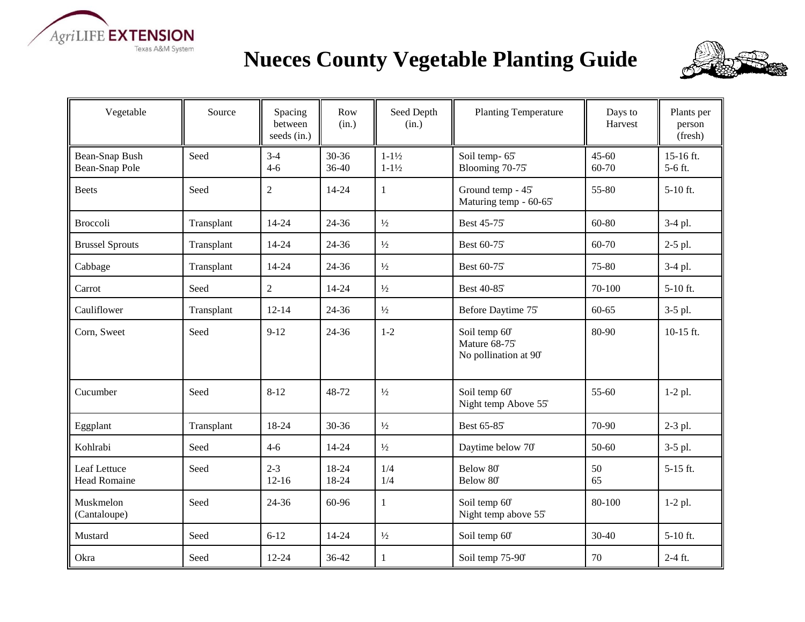

## **Nueces County Vegetable Planting Guide**



| Vegetable                           | Source     | Spacing<br>between<br>seeds (in.) | Row<br>(in.)       | Seed Depth<br>(in.)                      | <b>Planting Temperature</b>                             | Days to<br>Harvest | Plants per<br>person<br>(fresh) |
|-------------------------------------|------------|-----------------------------------|--------------------|------------------------------------------|---------------------------------------------------------|--------------------|---------------------------------|
| Bean-Snap Bush<br>Bean-Snap Pole    | Seed       | $3-4$<br>$4 - 6$                  | $30 - 36$<br>36-40 | $1 - 1\frac{1}{2}$<br>$1 - 1\frac{1}{2}$ | Soil temp-65°<br>Blooming 70-75°                        | $45 - 60$<br>60-70 | 15-16 ft.<br>5-6 ft.            |
| <b>Beets</b>                        | Seed       | $\overline{2}$                    | 14-24              | 1                                        | Ground temp - 45°<br>Maturing temp - 60-65°             | 55-80              | $5-10$ ft.                      |
| <b>Broccoli</b>                     | Transplant | 14-24                             | 24-36              | $\frac{1}{2}$                            | Best 45-75°                                             | 60-80              | 3-4 pl.                         |
| <b>Brussel Sprouts</b>              | Transplant | 14-24                             | 24-36              | $\frac{1}{2}$                            | Best 60-75 <sup>°</sup>                                 | 60-70              | 2-5 pl.                         |
| Cabbage                             | Transplant | 14-24                             | 24-36              | $\frac{1}{2}$                            | Best 60-75 <sup>°</sup>                                 | 75-80              | 3-4 pl.                         |
| Carrot                              | Seed       | $\overline{2}$                    | $14 - 24$          | $\frac{1}{2}$                            | Best 40-85 <sup>°</sup>                                 | 70-100             | $5-10$ ft.                      |
| Cauliflower                         | Transplant | $12 - 14$                         | 24-36              | $\frac{1}{2}$                            | Before Daytime 75°                                      | $60 - 65$          | $3-5$ pl.                       |
| Corn, Sweet                         | Seed       | $9-12$                            | 24-36              | $1-2$                                    | Soil temp 60°<br>Mature 68-75°<br>No pollination at 90° | 80-90              | 10-15 ft.                       |
| Cucumber                            | Seed       | $8 - 12$                          | 48-72              | $\frac{1}{2}$                            | Soil temp 60°<br>Night temp Above 55°                   | $55 - 60$          | $1-2$ pl.                       |
| Eggplant                            | Transplant | 18-24                             | $30 - 36$          | $\frac{1}{2}$                            | Best 65-85 <sup>°</sup>                                 | 70-90              | 2-3 pl.                         |
| Kohlrabi                            | Seed       | $4 - 6$                           | 14-24              | $1/2$                                    | Daytime below 70°                                       | 50-60              | $3-5$ pl.                       |
| Leaf Lettuce<br><b>Head Romaine</b> | Seed       | $2 - 3$<br>$12 - 16$              | 18-24<br>18-24     | 1/4<br>1/4                               | Below 80°<br>Below 80°                                  | 50<br>65           | $5-15$ ft.                      |
| Muskmelon<br>(Cantaloupe)           | Seed       | 24-36                             | 60-96              | 1                                        | Soil temp 60°<br>Night temp above 55°                   | 80-100             | $1-2$ pl.                       |
| Mustard                             | Seed       | $6 - 12$                          | $14 - 24$          | $\frac{1}{2}$                            | Soil temp 60°                                           | 30-40              | $5-10$ ft.                      |
| Okra                                | Seed       | $12 - 24$                         | 36-42              | $\mathbf{1}$                             | Soil temp 75-90°                                        | 70                 | $2-4$ ft.                       |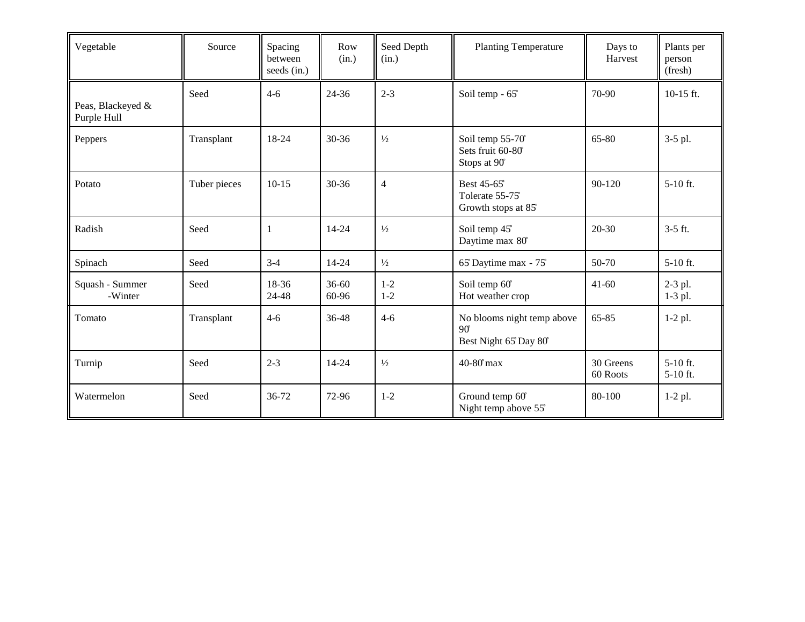| Vegetable                        | Source       | Spacing<br>between<br>seeds (in.) | Row<br>(in.)       | Seed Depth<br>(in.) | <b>Planting Temperature</b>                                       | Days to<br>Harvest    | Plants per<br>person<br>(fresh) |
|----------------------------------|--------------|-----------------------------------|--------------------|---------------------|-------------------------------------------------------------------|-----------------------|---------------------------------|
| Peas, Blackeyed &<br>Purple Hull | Seed         | $4 - 6$                           | $24 - 36$          | $2 - 3$             | Soil temp - 65°                                                   | 70-90                 | 10-15 ft.                       |
| Peppers                          | Transplant   | 18-24                             | 30-36              | $\frac{1}{2}$       | Soil temp 55-70°<br>Sets fruit 60-80°<br>Stops at 90°             | 65-80                 | 3-5 pl.                         |
| Potato                           | Tuber pieces | $10-15$                           | $30 - 36$          | $\overline{4}$      | Best 45-65°<br>Tolerate 55-75°<br>Growth stops at 85°             | 90-120                | $5-10$ ft.                      |
| Radish                           | Seed         | -1                                | 14-24              | $\frac{1}{2}$       | Soil temp 45°<br>Daytime max 80°                                  | 20-30                 | $3-5$ ft.                       |
| Spinach                          | Seed         | $3-4$                             | $14 - 24$          | $\frac{1}{2}$       | 65° Daytime max - 75°                                             | 50-70                 | $5-10$ ft.                      |
| Squash - Summer<br>-Winter       | Seed         | 18-36<br>24-48                    | $36 - 60$<br>60-96 | $1 - 2$<br>$1 - 2$  | Soil temp 60°<br>Hot weather crop                                 | $41 - 60$             | $2-3$ pl.<br>$1-3$ pl.          |
| Tomato                           | Transplant   | $4 - 6$                           | 36-48              | $4-6$               | No blooms night temp above<br>$90^\circ$<br>Best Night 65 Day 80° | 65-85                 | $1-2$ pl.                       |
| Turnip                           | Seed         | $2 - 3$                           | 14-24              | $\frac{1}{2}$       | 40-80° max                                                        | 30 Greens<br>60 Roots | $5-10$ ft.<br>5-10 ft.          |
| Watermelon                       | Seed         | 36-72                             | 72-96              | $1 - 2$             | Ground temp 60°<br>Night temp above 55°                           | 80-100                | $1-2$ pl.                       |